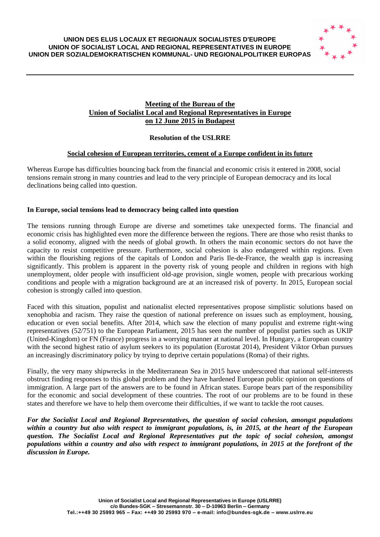## **UNION DES ELUS LOCAUX ET REGIONAUX SOCIALISTES D'EUROPE UNION OF SOCIALIST LOCAL AND REGIONAL REPRESENTATIVES IN EUROPE UNION DER SOZIALDEMOKRATISCHEN KOMMUNAL- UND REGIONALPOLITIKER EUROPAS**



# **Meeting of the Bureau of the Union of Socialist Local and Regional Representatives in Europe on 12 June 2015 in Budapest**

# **Resolution of the USLRRE**

## **Social cohesion of European territories, cement of a Europe confident in its future**

Whereas Europe has difficulties bouncing back from the financial and economic crisis it entered in 2008, social tensions remain strong in many countries and lead to the very principle of European democracy and its local declinations being called into question.

## **In Europe, social tensions lead to democracy being called into question**

The tensions running through Europe are diverse and sometimes take unexpected forms. The financial and economic crisis has highlighted even more the difference between the regions. There are those who resist thanks to a solid economy, aligned with the needs of global growth. In others the main economic sectors do not have the capacity to resist competitive pressure. Furthermore, social cohesion is also endangered within regions. Even within the flourishing regions of the capitals of London and Paris Ile-de-France, the wealth gap is increasing significantly. This problem is apparent in the poverty risk of young people and children in regions with high unemployment, older people with insufficient old-age provision, single women, people with precarious working conditions and people with a migration background are at an increased risk of poverty. In 2015, European social cohesion is strongly called into question.

Faced with this situation, populist and nationalist elected representatives propose simplistic solutions based on xenophobia and racism. They raise the question of national preference on issues such as employment, housing, education or even social benefits. After 2014, which saw the election of many populist and extreme right-wing representatives (52/751) to the European Parliament, 2015 has seen the number of populist parties such as UKIP (United-Kingdom) or FN (France) progress in a worrying manner at national level. In Hungary, a European country with the second highest ratio of asylum seekers to its population (Eurostat 2014), President Viktor Orban pursues an increasingly discriminatory policy by trying to deprive certain populations (Roma) of their rights.

Finally, the very many shipwrecks in the Mediterranean Sea in 2015 have underscored that national self-interests obstruct finding responses to this global problem and they have hardened European public opinion on questions of immigration. A large part of the answers are to be found in African states. Europe bears part of the responsibility for the economic and social development of these countries. The root of our problems are to be found in these states and therefore we have to help them overcome their difficulties, if we want to tackle the root causes.

*For the Socialist Local and Regional Representatives, the question of social cohesion, amongst populations within a country but also with respect to immigrant populations, is, in 2015, at the heart of the European question. The Socialist Local and Regional Representatives put the topic of social cohesion, amongst populations within a country and also with respect to immigrant populations, in 2015 at the forefront of the discussion in Europe.*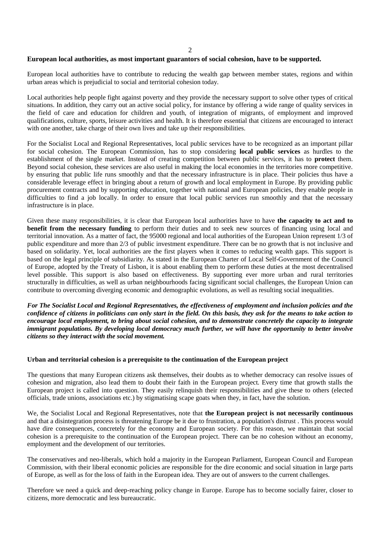$\mathfrak{D}$ 

#### **European local authorities, as most important guarantors of social cohesion, have to be supported.**

European local authorities have to contribute to reducing the wealth gap between member states, regions and within urban areas which is prejudicial to social and territorial cohesion today.

Local authorities help people fight against poverty and they provide the necessary support to solve other types of critical situations. In addition, they carry out an active social policy, for instance by offering a wide range of quality services in the field of care and education for children and youth, of integration of migrants, of employment and improved qualifications, culture, sports, leisure activities and health. It is therefore essential that citizens are encouraged to interact with one another, take charge of their own lives and take up their responsibilities.

For the Socialist Local and Regional Representatives, local public services have to be recognized as an important pillar for social cohesion. The European Commission, has to stop considering **local public services** as hurdles to the establishment of the single market. Instead of creating competition between public services, it has to **protect** them. Beyond social cohesion, these services are also useful in making the local economies in the territories more competitive. by ensuring that public life runs smoothly and that the necessary infrastructure is in place. Their policies thus have a considerable leverage effect in bringing about a return of growth and local employment in Europe. By providing public procurement contracts and by supporting education, together with national and European policies, they enable people in difficulties to find a job locally. In order to ensure that local public services run smoothly and that the necessary infrastructure is in place.

Given these many responsibilities, it is clear that European local authorities have to have **the capacity to act and to benefit from the necessary funding** to perform their duties and to seek new sources of financing using local and territorial innovation. As a matter of fact, the 95000 regional and local authorities of the European Union represent 1/3 of public expenditure and more than 2/3 of public investment expenditure. There can be no growth that is not inclusive and based on solidarity. Yet, local authorities are the first players when it comes to reducing wealth gaps. This support is based on the legal principle of subsidiarity. As stated in the European Charter of Local Self-Government of the Council of Europe, adopted by the Treaty of Lisbon, it is about enabling them to perform these duties at the most decentralised level possible. This support is also based on effectiveness. By supporting ever more urban and rural territories structurally in difficulties, as well as urban neighbourhoods facing significant social challenges, the European Union can contribute to overcoming diverging economic and demographic evolutions, as well as resulting social inequalities.

*For The Socialist Local and Regional Representatives, the effectiveness of employment and inclusion policies and the confidence of citizens in politicians can only start in the field. On this basis, they ask for the means to take action to encourage local employment, to bring about social cohesion, and to demonstrate concretely the capacity to integrate immigrant populations. By developing local democracy much further, we will have the opportunity to better involve citizens so they interact with the social movement.*

#### **Urban and territorial cohesion is a prerequisite to the continuation of the European project**

The questions that many European citizens ask themselves, their doubts as to whether democracy can resolve issues of cohesion and migration, also lead them to doubt their faith in the European project. Every time that growth stalls the European project is called into question. They easily relinquish their responsibilities and give these to others (elected officials, trade unions, associations etc.) by stigmatising scape goats when they, in fact, have the solution.

We, the Socialist Local and Regional Representatives, note that **the European project is not necessarily continuous** and that a disintegration process is threatening Europe be it due to frustration, a population's distrust . This process would have dire consequences, concretely for the economy and European society. For this reason, we maintain that social cohesion is a prerequisite to the continuation of the European project. There can be no cohesion without an economy, employment and the development of our territories.

The conservatives and neo-liberals, which hold a majority in the European Parliament, European Council and European Commission, with their liberal economic policies are responsible for the dire economic and social situation in large parts of Europe, as well as for the loss of faith in the European idea. They are out of answers to the current challenges.

Therefore we need a quick and deep-reaching policy change in Europe. Europe has to become socially fairer, closer to citizens, more democratic and less bureaucratic.